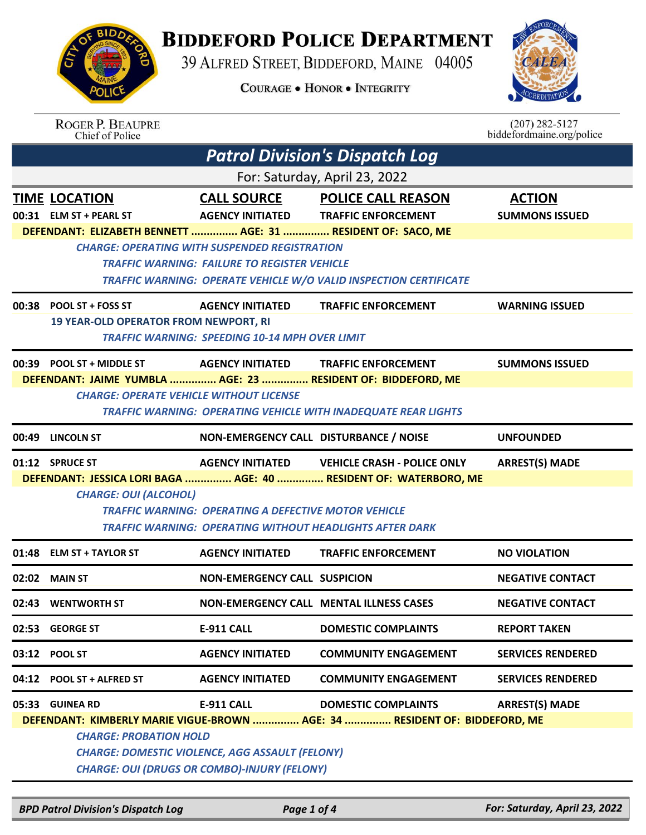

## **BIDDEFORD POLICE DEPARTMENT**

39 ALFRED STREET, BIDDEFORD, MAINE 04005

**COURAGE . HONOR . INTEGRITY** 



|       | <b>ROGER P. BEAUPRE</b><br>Chief of Police                   |                                                                                                               |                                                                            | $(207)$ 282-5127<br>biddefordmaine.org/police |  |  |
|-------|--------------------------------------------------------------|---------------------------------------------------------------------------------------------------------------|----------------------------------------------------------------------------|-----------------------------------------------|--|--|
|       |                                                              |                                                                                                               | <b>Patrol Division's Dispatch Log</b>                                      |                                               |  |  |
|       | For: Saturday, April 23, 2022                                |                                                                                                               |                                                                            |                                               |  |  |
|       | <b>TIME LOCATION</b>                                         | <b>CALL SOURCE</b>                                                                                            | <b>POLICE CALL REASON</b>                                                  | <b>ACTION</b>                                 |  |  |
|       | 00:31 ELM ST + PEARL ST                                      | <b>AGENCY INITIATED</b>                                                                                       | <b>TRAFFIC ENFORCEMENT</b>                                                 | <b>SUMMONS ISSUED</b>                         |  |  |
|       | DEFENDANT: ELIZABETH BENNETT  AGE: 31  RESIDENT OF: SACO, ME |                                                                                                               |                                                                            |                                               |  |  |
|       |                                                              | <b>CHARGE: OPERATING WITH SUSPENDED REGISTRATION</b>                                                          |                                                                            |                                               |  |  |
|       |                                                              | <b>TRAFFIC WARNING: FAILURE TO REGISTER VEHICLE</b>                                                           |                                                                            |                                               |  |  |
|       |                                                              |                                                                                                               | TRAFFIC WARNING: OPERATE VEHICLE W/O VALID INSPECTION CERTIFICATE          |                                               |  |  |
|       | $00:38$ POOL ST + FOSS ST                                    | <b>AGENCY INITIATED</b>                                                                                       | <b>TRAFFIC ENFORCEMENT</b>                                                 | <b>WARNING ISSUED</b>                         |  |  |
|       | <b>19 YEAR-OLD OPERATOR FROM NEWPORT, RI</b>                 |                                                                                                               |                                                                            |                                               |  |  |
|       |                                                              | <b>TRAFFIC WARNING: SPEEDING 10-14 MPH OVER LIMIT</b>                                                         |                                                                            |                                               |  |  |
|       | 00:39 POOL ST + MIDDLE ST                                    | <b>AGENCY INITIATED</b>                                                                                       | <b>TRAFFIC ENFORCEMENT</b>                                                 | <b>SUMMONS ISSUED</b>                         |  |  |
|       | DEFENDANT: JAIME YUMBLA  AGE: 23  RESIDENT OF: BIDDEFORD, ME |                                                                                                               |                                                                            |                                               |  |  |
|       | <b>CHARGE: OPERATE VEHICLE WITHOUT LICENSE</b>               |                                                                                                               |                                                                            |                                               |  |  |
|       |                                                              |                                                                                                               | <b>TRAFFIC WARNING: OPERATING VEHICLE WITH INADEQUATE REAR LIGHTS</b>      |                                               |  |  |
|       | 00:49 LINCOLN ST                                             | NON-EMERGENCY CALL DISTURBANCE / NOISE                                                                        |                                                                            | <b>UNFOUNDED</b>                              |  |  |
|       |                                                              |                                                                                                               |                                                                            |                                               |  |  |
|       | 01:12 SPRUCE ST                                              | <b>AGENCY INITIATED</b>                                                                                       | <b>VEHICLE CRASH - POLICE ONLY</b>                                         | <b>ARREST(S) MADE</b>                         |  |  |
|       |                                                              |                                                                                                               | DEFENDANT: JESSICA LORI BAGA  AGE: 40  RESIDENT OF: WATERBORO, ME          |                                               |  |  |
|       | <b>CHARGE: OUI (ALCOHOL)</b>                                 |                                                                                                               |                                                                            |                                               |  |  |
|       |                                                              | <b>TRAFFIC WARNING: OPERATING A DEFECTIVE MOTOR VEHICLE</b>                                                   |                                                                            |                                               |  |  |
|       |                                                              | <b>TRAFFIC WARNING: OPERATING WITHOUT HEADLIGHTS AFTER DARK</b>                                               |                                                                            |                                               |  |  |
| 01:48 | <b>ELM ST + TAYLOR ST</b>                                    | <b>AGENCY INITIATED</b>                                                                                       | <b>TRAFFIC ENFORCEMENT</b>                                                 | <b>NO VIOLATION</b>                           |  |  |
|       | $02:02$ MAIN ST                                              | <b>NON-EMERGENCY CALL SUSPICION</b>                                                                           |                                                                            | <b>NEGATIVE CONTACT</b>                       |  |  |
|       | 02:43 WENTWORTH ST                                           |                                                                                                               | <b>NON-EMERGENCY CALL MENTAL ILLNESS CASES</b>                             | <b>NEGATIVE CONTACT</b>                       |  |  |
| 02:53 | <b>GEORGE ST</b>                                             | <b>E-911 CALL</b>                                                                                             | <b>DOMESTIC COMPLAINTS</b>                                                 | <b>REPORT TAKEN</b>                           |  |  |
|       | 03:12 POOL ST                                                | <b>AGENCY INITIATED</b>                                                                                       | <b>COMMUNITY ENGAGEMENT</b>                                                | <b>SERVICES RENDERED</b>                      |  |  |
|       | 04:12 POOL ST + ALFRED ST                                    | <b>AGENCY INITIATED</b>                                                                                       | <b>COMMUNITY ENGAGEMENT</b>                                                | <b>SERVICES RENDERED</b>                      |  |  |
|       | 05:33 GUINEA RD                                              | <b>E-911 CALL</b>                                                                                             | <b>DOMESTIC COMPLAINTS</b>                                                 | <b>ARREST(S) MADE</b>                         |  |  |
|       |                                                              |                                                                                                               | DEFENDANT: KIMBERLY MARIE VIGUE-BROWN  AGE: 34  RESIDENT OF: BIDDEFORD, ME |                                               |  |  |
|       | <b>CHARGE: PROBATION HOLD</b>                                |                                                                                                               |                                                                            |                                               |  |  |
|       |                                                              | <b>CHARGE: DOMESTIC VIOLENCE, AGG ASSAULT (FELONY)</b><br><b>CHARGE: OUI (DRUGS OR COMBO)-INJURY (FELONY)</b> |                                                                            |                                               |  |  |

*BPD Patrol Division's Dispatch Log Page 1 of 4 For: Saturday, April 23, 2022*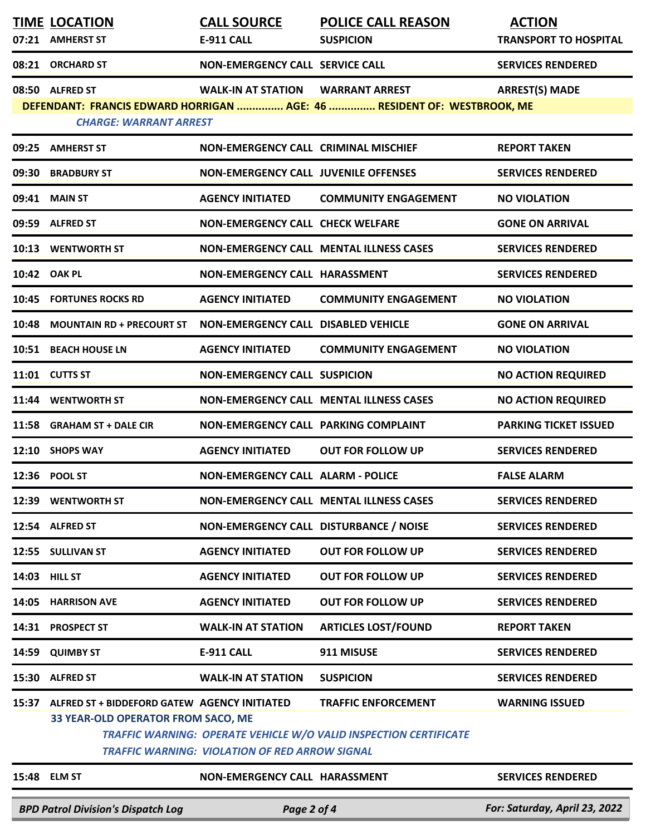|       | <b>TIME LOCATION</b>                                                                     | <b>CALL SOURCE</b>                                    | <b>POLICE CALL REASON</b>                                                                              | <b>ACTION</b>                 |
|-------|------------------------------------------------------------------------------------------|-------------------------------------------------------|--------------------------------------------------------------------------------------------------------|-------------------------------|
|       | 07:21 AMHERST ST                                                                         | E-911 CALL                                            | <b>SUSPICION</b>                                                                                       | <b>TRANSPORT TO HOSPITAL</b>  |
|       | 08:21 ORCHARD ST                                                                         | <b>NON-EMERGENCY CALL SERVICE CALL</b>                |                                                                                                        | <b>SERVICES RENDERED</b>      |
|       | 08:50 ALFRED ST                                                                          | <b>WALK-IN AT STATION</b>                             | <b>WARRANT ARREST</b>                                                                                  | <b>ARREST(S) MADE</b>         |
|       | <b>CHARGE: WARRANT ARREST</b>                                                            |                                                       | DEFENDANT: FRANCIS EDWARD HORRIGAN  AGE: 46  RESIDENT OF: WESTBROOK, ME                                |                               |
|       | 09:25 AMHERST ST                                                                         | <b>NON-EMERGENCY CALL CRIMINAL MISCHIEF</b>           |                                                                                                        | <b>REPORT TAKEN</b>           |
|       | 09:30 BRADBURY ST                                                                        | <b>NON-EMERGENCY CALL JUVENILE OFFENSES</b>           |                                                                                                        | <b>SERVICES RENDERED</b>      |
|       | 09:41 MAIN ST                                                                            | <b>AGENCY INITIATED</b>                               | <b>COMMUNITY ENGAGEMENT</b>                                                                            | <b>NO VIOLATION</b>           |
|       | 09:59 ALFRED ST                                                                          | <b>NON-EMERGENCY CALL CHECK WELFARE</b>               |                                                                                                        | <b>GONE ON ARRIVAL</b>        |
|       | 10:13 WENTWORTH ST                                                                       |                                                       | <b>NON-EMERGENCY CALL MENTAL ILLNESS CASES</b>                                                         | <b>SERVICES RENDERED</b>      |
|       | 10:42 OAK PL                                                                             | <b>NON-EMERGENCY CALL HARASSMENT</b>                  |                                                                                                        | <b>SERVICES RENDERED</b>      |
|       | <b>10:45 FORTUNES ROCKS RD</b>                                                           | <b>AGENCY INITIATED</b>                               | <b>COMMUNITY ENGAGEMENT</b>                                                                            | <b>NO VIOLATION</b>           |
| 10:48 | <b>MOUNTAIN RD + PRECOURT ST</b>                                                         | <b>NON-EMERGENCY CALL DISABLED VEHICLE</b>            |                                                                                                        | <b>GONE ON ARRIVAL</b>        |
|       | 10:51 BEACH HOUSE LN                                                                     | <b>AGENCY INITIATED</b>                               | <b>COMMUNITY ENGAGEMENT</b>                                                                            | <b>NO VIOLATION</b>           |
|       | 11:01 CUTTS ST                                                                           | <b>NON-EMERGENCY CALL SUSPICION</b>                   |                                                                                                        | <b>NO ACTION REQUIRED</b>     |
|       | 11:44 WENTWORTH ST                                                                       |                                                       | <b>NON-EMERGENCY CALL MENTAL ILLNESS CASES</b>                                                         | <b>NO ACTION REQUIRED</b>     |
|       | 11:58 GRAHAM ST + DALE CIR                                                               | NON-EMERGENCY CALL PARKING COMPLAINT                  |                                                                                                        | <b>PARKING TICKET ISSUED</b>  |
|       | 12:10 SHOPS WAY                                                                          | <b>AGENCY INITIATED</b>                               | <b>OUT FOR FOLLOW UP</b>                                                                               | <b>SERVICES RENDERED</b>      |
|       | 12:36 POOL ST                                                                            | <b>NON-EMERGENCY CALL ALARM - POLICE</b>              |                                                                                                        | <b>FALSE ALARM</b>            |
|       | 12:39 WENTWORTH ST                                                                       |                                                       | <b>NON-EMERGENCY CALL MENTAL ILLNESS CASES</b>                                                         | <b>SERVICES RENDERED</b>      |
|       | 12:54 ALFRED ST                                                                          | NON-EMERGENCY CALL DISTURBANCE / NOISE                |                                                                                                        | <b>SERVICES RENDERED</b>      |
|       | 12:55 SULLIVAN ST                                                                        | <b>AGENCY INITIATED</b>                               | <b>OUT FOR FOLLOW UP</b>                                                                               | <b>SERVICES RENDERED</b>      |
|       | 14:03 HILL ST                                                                            | <b>AGENCY INITIATED</b>                               | <b>OUT FOR FOLLOW UP</b>                                                                               | <b>SERVICES RENDERED</b>      |
|       | 14:05 HARRISON AVE                                                                       | <b>AGENCY INITIATED</b>                               | <b>OUT FOR FOLLOW UP</b>                                                                               | <b>SERVICES RENDERED</b>      |
|       | 14:31 PROSPECT ST                                                                        | <b>WALK-IN AT STATION</b>                             | <b>ARTICLES LOST/FOUND</b>                                                                             | <b>REPORT TAKEN</b>           |
| 14:59 | <b>QUIMBY ST</b>                                                                         | <b>E-911 CALL</b>                                     | 911 MISUSE                                                                                             | <b>SERVICES RENDERED</b>      |
|       | 15:30 ALFRED ST                                                                          | <b>WALK-IN AT STATION</b>                             | <b>SUSPICION</b>                                                                                       | <b>SERVICES RENDERED</b>      |
|       | 15:37 ALFRED ST + BIDDEFORD GATEW AGENCY INITIATED<br>33 YEAR-OLD OPERATOR FROM SACO, ME | <b>TRAFFIC WARNING: VIOLATION OF RED ARROW SIGNAL</b> | <b>TRAFFIC ENFORCEMENT</b><br><b>TRAFFIC WARNING: OPERATE VEHICLE W/O VALID INSPECTION CERTIFICATE</b> | <b>WARNING ISSUED</b>         |
|       | 15:48 ELM ST                                                                             | NON-EMERGENCY CALL HARASSMENT                         |                                                                                                        | <b>SERVICES RENDERED</b>      |
|       | <b>BPD Patrol Division's Dispatch Log</b>                                                | Page 2 of 4                                           |                                                                                                        | For: Saturday, April 23, 2022 |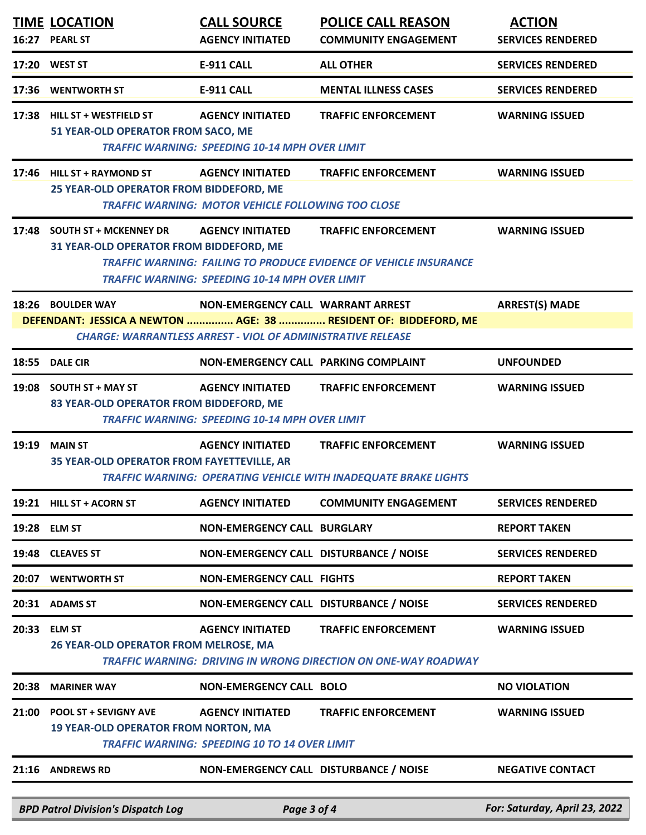|       | <b>TIME LOCATION</b><br>16:27 PEARL ST                                      | <b>CALL SOURCE</b><br><b>AGENCY INITIATED</b>                                                           | <b>POLICE CALL REASON</b><br><b>COMMUNITY ENGAGEMENT</b>                                               | <b>ACTION</b><br><b>SERVICES RENDERED</b> |
|-------|-----------------------------------------------------------------------------|---------------------------------------------------------------------------------------------------------|--------------------------------------------------------------------------------------------------------|-------------------------------------------|
|       | 17:20 WEST ST                                                               | <b>E-911 CALL</b>                                                                                       | <b>ALL OTHER</b>                                                                                       | <b>SERVICES RENDERED</b>                  |
| 17:36 | <b>WENTWORTH ST</b>                                                         | <b>E-911 CALL</b>                                                                                       | <b>MENTAL ILLNESS CASES</b>                                                                            | <b>SERVICES RENDERED</b>                  |
|       | 17:38 HILL ST + WESTFIELD ST<br>51 YEAR-OLD OPERATOR FROM SACO, ME          | <b>AGENCY INITIATED</b><br><b>TRAFFIC WARNING: SPEEDING 10-14 MPH OVER LIMIT</b>                        | <b>TRAFFIC ENFORCEMENT</b>                                                                             | <b>WARNING ISSUED</b>                     |
|       | 17:46 HILL ST + RAYMOND ST<br>25 YEAR-OLD OPERATOR FROM BIDDEFORD, ME       | <b>AGENCY INITIATED</b><br><b>TRAFFIC WARNING: MOTOR VEHICLE FOLLOWING TOO CLOSE</b>                    | <b>TRAFFIC ENFORCEMENT</b>                                                                             | <b>WARNING ISSUED</b>                     |
|       | 17:48 SOUTH ST + MCKENNEY DR<br>31 YEAR-OLD OPERATOR FROM BIDDEFORD, ME     | <b>AGENCY INITIATED</b><br><b>TRAFFIC WARNING: SPEEDING 10-14 MPH OVER LIMIT</b>                        | <b>TRAFFIC ENFORCEMENT</b><br><b>TRAFFIC WARNING: FAILING TO PRODUCE EVIDENCE OF VEHICLE INSURANCE</b> | <b>WARNING ISSUED</b>                     |
|       | 18:26 BOULDER WAY                                                           | NON-EMERGENCY CALL WARRANT ARREST<br><b>CHARGE: WARRANTLESS ARREST - VIOL OF ADMINISTRATIVE RELEASE</b> | DEFENDANT: JESSICA A NEWTON  AGE: 38  RESIDENT OF: BIDDEFORD, ME                                       | <b>ARREST(S) MADE</b>                     |
|       | 18:55 DALE CIR                                                              | NON-EMERGENCY CALL PARKING COMPLAINT                                                                    |                                                                                                        | <b>UNFOUNDED</b>                          |
|       | 19:08 SOUTH ST + MAY ST<br>83 YEAR-OLD OPERATOR FROM BIDDEFORD, ME          | <b>AGENCY INITIATED</b><br><b>TRAFFIC WARNING: SPEEDING 10-14 MPH OVER LIMIT</b>                        | <b>TRAFFIC ENFORCEMENT</b>                                                                             | <b>WARNING ISSUED</b>                     |
| 19:19 | <b>MAIN ST</b><br>35 YEAR-OLD OPERATOR FROM FAYETTEVILLE, AR                | <b>AGENCY INITIATED</b>                                                                                 | <b>TRAFFIC ENFORCEMENT</b><br>TRAFFIC WARNING: OPERATING VEHICLE WITH INADEQUATE BRAKE LIGHTS          | <b>WARNING ISSUED</b>                     |
|       | 19:21 HILL ST + ACORN ST                                                    | <b>AGENCY INITIATED</b>                                                                                 | <b>COMMUNITY ENGAGEMENT</b>                                                                            | <b>SERVICES RENDERED</b>                  |
|       | 19:28 ELM ST                                                                | <b>NON-EMERGENCY CALL BURGLARY</b>                                                                      |                                                                                                        | <b>REPORT TAKEN</b>                       |
| 19:48 | <b>CLEAVES ST</b>                                                           | NON-EMERGENCY CALL DISTURBANCE / NOISE                                                                  |                                                                                                        | <b>SERVICES RENDERED</b>                  |
| 20:07 | <b>WENTWORTH ST</b>                                                         | <b>NON-EMERGENCY CALL FIGHTS</b>                                                                        |                                                                                                        | <b>REPORT TAKEN</b>                       |
|       | 20:31 ADAMS ST                                                              | NON-EMERGENCY CALL DISTURBANCE / NOISE                                                                  |                                                                                                        | <b>SERVICES RENDERED</b>                  |
| 20:33 | <b>ELM ST</b><br><b>26 YEAR-OLD OPERATOR FROM MELROSE, MA</b>               | <b>AGENCY INITIATED</b>                                                                                 | <b>TRAFFIC ENFORCEMENT</b><br>TRAFFIC WARNING: DRIVING IN WRONG DIRECTION ON ONE-WAY ROADWAY           | <b>WARNING ISSUED</b>                     |
| 20:38 | <b>MARINER WAY</b>                                                          | <b>NON-EMERGENCY CALL BOLO</b>                                                                          |                                                                                                        | <b>NO VIOLATION</b>                       |
| 21:00 | <b>POOL ST + SEVIGNY AVE</b><br><b>19 YEAR-OLD OPERATOR FROM NORTON, MA</b> | <b>AGENCY INITIATED</b><br><b>TRAFFIC WARNING: SPEEDING 10 TO 14 OVER LIMIT</b>                         | <b>TRAFFIC ENFORCEMENT</b>                                                                             | <b>WARNING ISSUED</b>                     |
|       | 21:16 ANDREWS RD                                                            | NON-EMERGENCY CALL DISTURBANCE / NOISE                                                                  |                                                                                                        | <b>NEGATIVE CONTACT</b>                   |
|       | <b>BPD Patrol Division's Dispatch Log</b>                                   | Page 3 of 4                                                                                             |                                                                                                        | For: Saturday, April 23, 2022             |